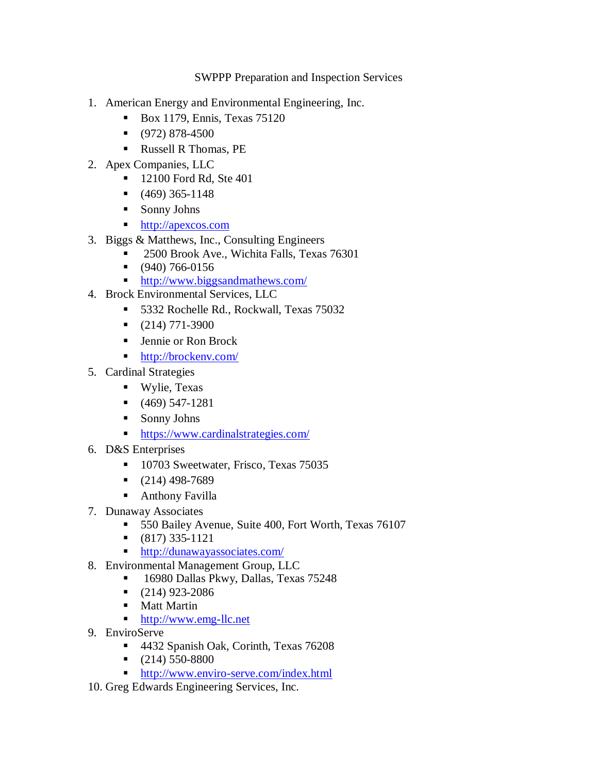SWPPP Preparation and Inspection Services

- 1. American Energy and Environmental Engineering, Inc.
	- $\blacksquare$  Box 1179, Ennis, Texas 75120
	- $\bullet$  (972) 878-4500
	- Russell R Thomas, PE
- 2. Apex Companies, LLC
	- **12100 Ford Rd, Ste 401**
	- $\bullet$  (469) 365-1148
	- Sonny Johns
	- [http://apexcos.com](http://apexcos.com/)
- 3. Biggs & Matthews, Inc., Consulting Engineers
	- 2500 Brook Ave., Wichita Falls, Texas 76301
		- (940) 766-0156
		- <http://www.biggsandmathews.com/>
- 4. Brock Environmental Services, LLC
	- 5332 Rochelle Rd., Rockwall, Texas 75032
	- $\bullet$  (214) 771-3900
	- **Example or Ron Brock**
	- <http://brockenv.com/>
- 5. Cardinal Strategies
	- Wylie, Texas
	- $(469) 547-1281$
	- Sonny Johns
	- <https://www.cardinalstrategies.com/>
- 6. D&S Enterprises
	- 10703 Sweetwater, Frisco, Texas 75035
	- $\bullet$  (214) 498-7689
	- Anthony Favilla
- 7. Dunaway Associates
	- 550 Bailey Avenue, Suite 400, Fort Worth, Texas 76107
	- $\bullet$  (817) 335-1121
	- **t<http://dunawayassociates.com/>**
- 8. Environmental Management Group, LLC
	- 16980 Dallas Pkwy, Dallas, Texas 75248
	- $\bullet$  (214) 923-2086
	- Matt Martin
	- [http://www.emg-llc.net](http://www.emg-llc.net/)
- 9. EnviroServe
	- 4432 Spanish Oak, Corinth, Texas 76208
	- $\bullet$  (214) 550-8800
	- <http://www.enviro-serve.com/index.html>
- 10. Greg Edwards Engineering Services, Inc.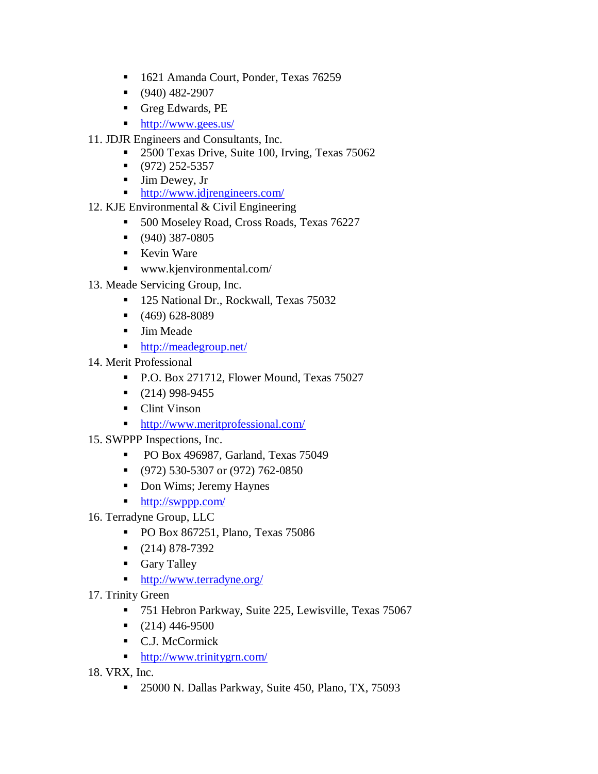- 1621 Amanda Court, Ponder, Texas 76259
- $(940)$  482-2907
- Greg Edwards, PE
- <http://www.gees.us/>
- 11. JDJR Engineers and Consultants, Inc.
	- 2500 Texas Drive, Suite 100, Irving, Texas 75062
	- $\bullet$  (972) 252-5357
	- $\blacksquare$  Jim Dewey, Jr
	- <http://www.jdjrengineers.com/>
- 12. KJE Environmental & Civil Engineering
	- 500 Moseley Road, Cross Roads, Texas 76227
	- $\bullet$  (940) 387-0805
	- Kevin Ware
	- www.kjenvironmental.com/
- 13. Meade Servicing Group, Inc.
	- 125 National Dr., Rockwall, Texas 75032
	- $(469) 628-8089$
	- Jim Meade
	- <http://meadegroup.net/>
- 14. Merit Professional
	- P.O. Box 271712, Flower Mound, Texas 75027
	- $\bullet$  (214) 998-9455
	- Clint Vinson
	- <http://www.meritprofessional.com/>
- 15. SWPPP Inspections, Inc.
	- PO Box 496987, Garland, Texas 75049
	- $\bullet$  (972) 530-5307 or (972) 762-0850
	- Don Wims; Jeremy Haynes
	- <http://swppp.com/>
- 16. Terradyne Group, LLC
	- PO Box 867251, Plano, Texas 75086
	- $\bullet$  (214) 878-7392
	- Gary Talley
	- <http://www.terradyne.org/>
- 17. Trinity Green
	- 751 Hebron Parkway, Suite 225, Lewisville, Texas 75067
	- $\bullet$  (214) 446-9500
	- C.J. McCormick
	- <http://www.trinitygrn.com/>
- 18. VRX, Inc.
	- 25000 N. Dallas Parkway, Suite 450, Plano, TX, 75093